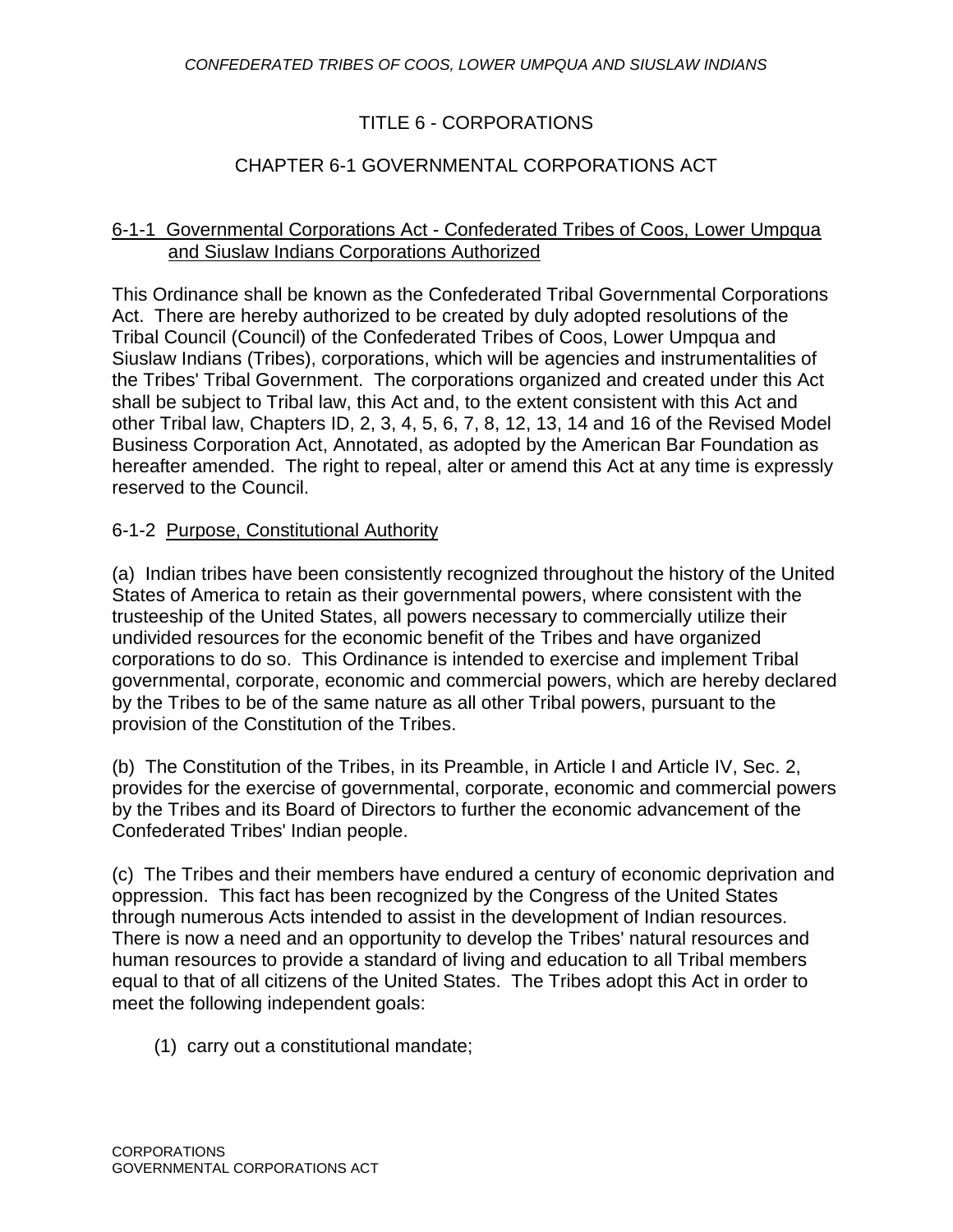# TITLE 6 - CORPORATIONS

# CHAPTER 6-1 GOVERNMENTAL CORPORATIONS ACT

#### 6-1-1 Governmental Corporations Act - Confederated Tribes of Coos, Lower Umpqua and Siuslaw Indians Corporations Authorized

This Ordinance shall be known as the Confederated Tribal Governmental Corporations Act. There are hereby authorized to be created by duly adopted resolutions of the Tribal Council (Council) of the Confederated Tribes of Coos, Lower Umpqua and Siuslaw Indians (Tribes), corporations, which will be agencies and instrumentalities of the Tribes' Tribal Government. The corporations organized and created under this Act shall be subject to Tribal law, this Act and, to the extent consistent with this Act and other Tribal law, Chapters ID, 2, 3, 4, 5, 6, 7, 8, 12, 13, 14 and 16 of the Revised Model Business Corporation Act, Annotated, as adopted by the American Bar Foundation as hereafter amended. The right to repeal, alter or amend this Act at any time is expressly reserved to the Council.

#### 6-1-2 Purpose, Constitutional Authority

(a) Indian tribes have been consistently recognized throughout the history of the United States of America to retain as their governmental powers, where consistent with the trusteeship of the United States, all powers necessary to commercially utilize their undivided resources for the economic benefit of the Tribes and have organized corporations to do so. This Ordinance is intended to exercise and implement Tribal governmental, corporate, economic and commercial powers, which are hereby declared by the Tribes to be of the same nature as all other Tribal powers, pursuant to the provision of the Constitution of the Tribes.

(b) The Constitution of the Tribes, in its Preamble, in Article I and Article IV, Sec. 2, provides for the exercise of governmental, corporate, economic and commercial powers by the Tribes and its Board of Directors to further the economic advancement of the Confederated Tribes' Indian people.

(c) The Tribes and their members have endured a century of economic deprivation and oppression. This fact has been recognized by the Congress of the United States through numerous Acts intended to assist in the development of Indian resources. There is now a need and an opportunity to develop the Tribes' natural resources and human resources to provide a standard of living and education to all Tribal members equal to that of all citizens of the United States. The Tribes adopt this Act in order to meet the following independent goals:

(1) carry out a constitutional mandate;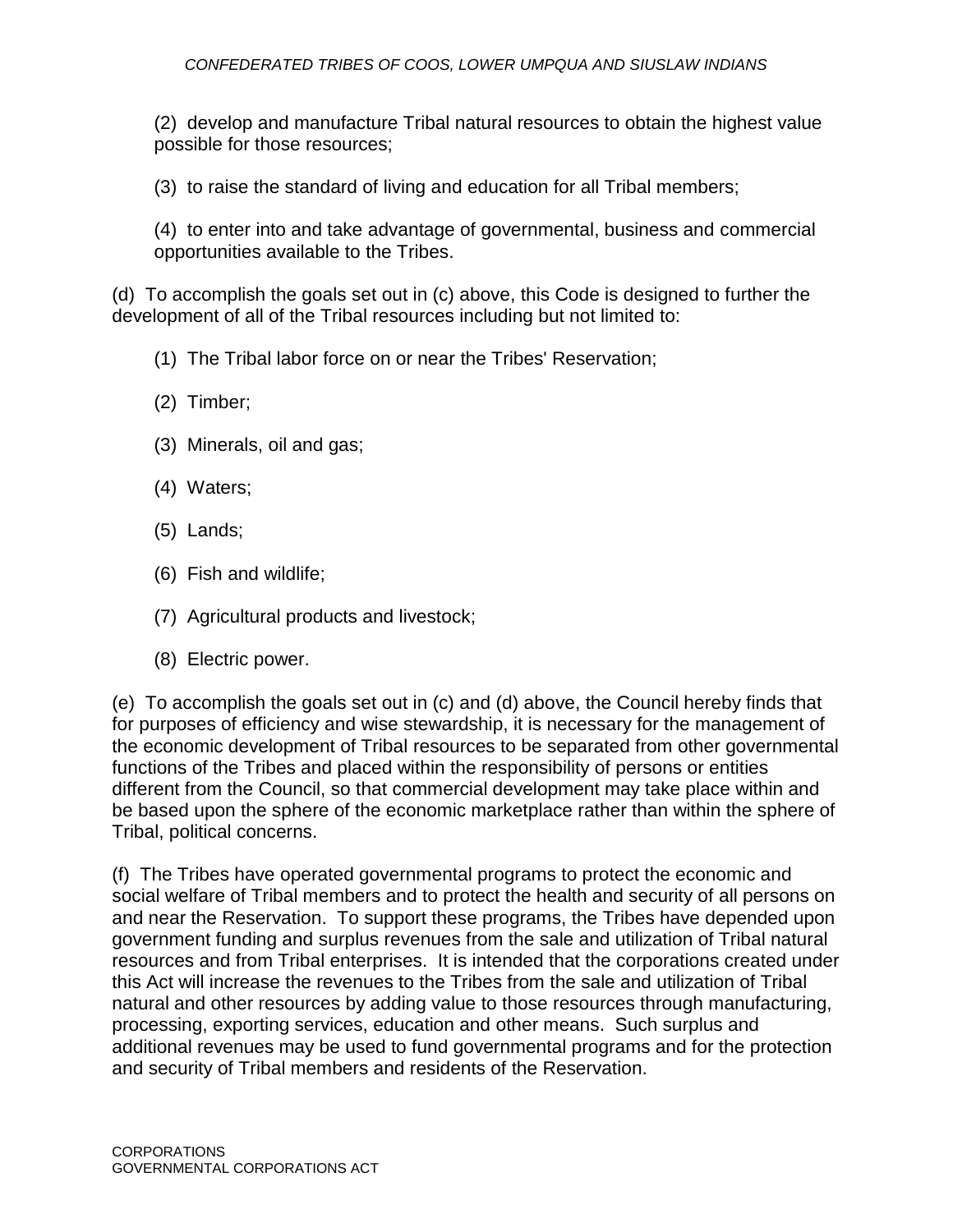(2) develop and manufacture Tribal natural resources to obtain the highest value possible for those resources;

(3) to raise the standard of living and education for all Tribal members;

(4) to enter into and take advantage of governmental, business and commercial opportunities available to the Tribes.

(d) To accomplish the goals set out in (c) above, this Code is designed to further the development of all of the Tribal resources including but not limited to:

- (1) The Tribal labor force on or near the Tribes' Reservation;
- (2) Timber;
- (3) Minerals, oil and gas;
- (4) Waters;
- (5)Lands;
- (6) Fish and wildlife;
- (7) Agricultural products and livestock;
- (8) Electric power.

(e) To accomplish the goals set out in (c) and (d) above, the Council hereby finds that for purposes of efficiency and wise stewardship, it is necessary for the management of the economic development of Tribal resources to be separated from other governmental functions of the Tribes and placed within the responsibility of persons or entities different from the Council, so that commercial development may take place within and be based upon the sphere of the economic marketplace rather than within the sphere of Tribal, political concerns.

(f) The Tribes have operated governmental programs to protect the economic and social welfare of Tribal members and to protect the health and security of all persons on and near the Reservation. To support these programs, the Tribes have depended upon government funding and surplus revenues from the sale and utilization of Tribal natural resources and from Tribal enterprises. It is intended that the corporations created under this Act will increase the revenues to the Tribes from the sale and utilization of Tribal natural and other resources by adding value to those resources through manufacturing, processing, exporting services, education and other means. Such surplus and additional revenues may be used to fund governmental programs and for the protection and security of Tribal members and residents of the Reservation.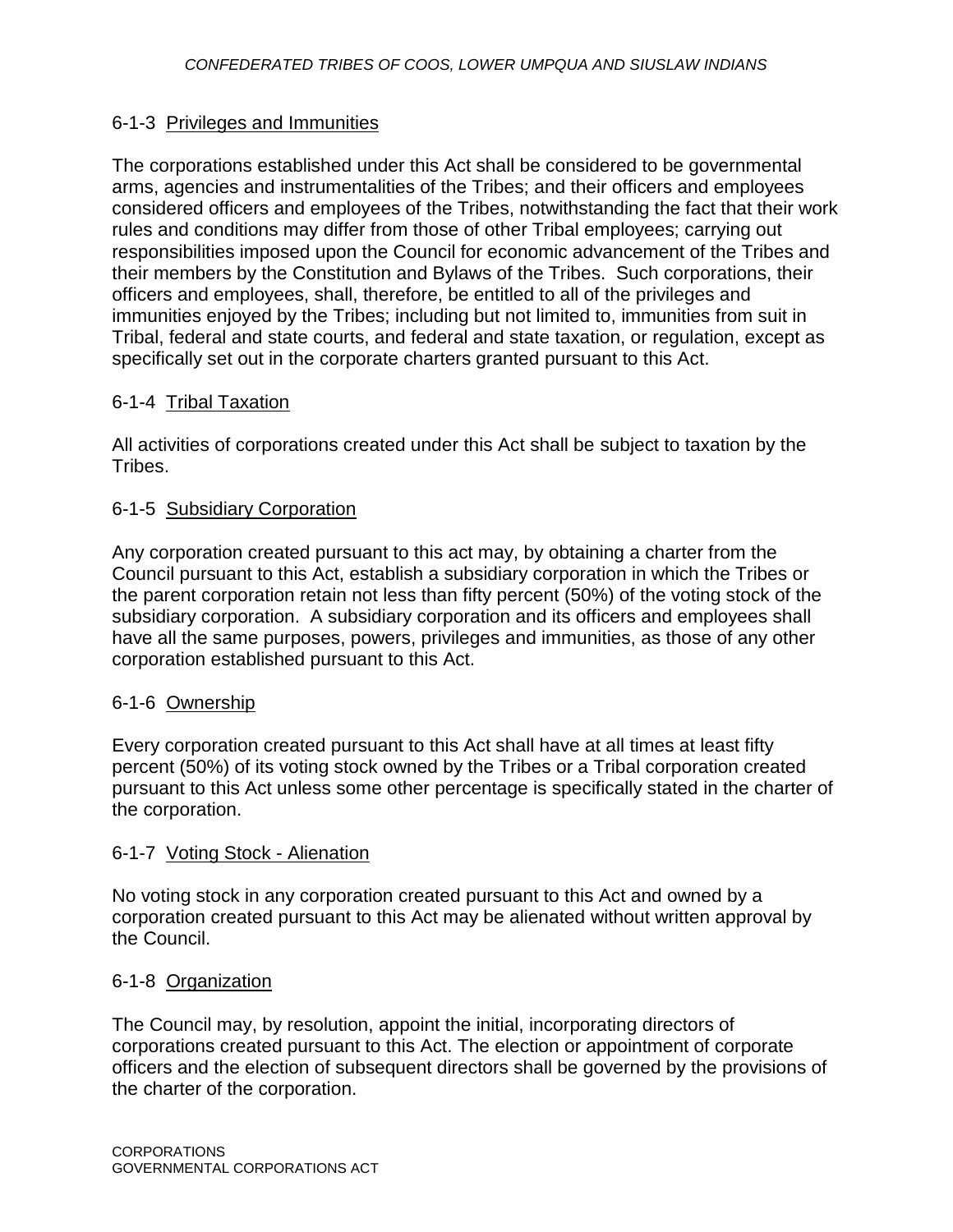# 6-1-3 Privileges and Immunities

The corporations established under this Act shall be considered to be governmental arms, agencies and instrumentalities of the Tribes; and their officers and employees considered officers and employees of the Tribes, notwithstanding the fact that their work rules and conditions may differ from those of other Tribal employees; carrying out responsibilities imposed upon the Council for economic advancement of the Tribes and their members by the Constitution and Bylaws of the Tribes. Such corporations, their officers and employees, shall, therefore, be entitled to all of the privileges and immunities enjoyed by the Tribes; including but not limited to, immunities from suit in Tribal, federal and state courts, and federal and state taxation, or regulation, except as specifically set out in the corporate charters granted pursuant to this Act.

# 6-1-4 Tribal Taxation

All activities of corporations created under this Act shall be subject to taxation by the Tribes.

# 6-1-5 Subsidiary Corporation

Any corporation created pursuant to this act may, by obtaining a charter from the Council pursuant to this Act, establish a subsidiary corporation in which the Tribes or the parent corporation retain not less than fifty percent (50%) of the voting stock of the subsidiary corporation. A subsidiary corporation and its officers and employees shall have all the same purposes, powers, privileges and immunities, as those of any other corporation established pursuant to this Act.

## 6-1-6 Ownership

Every corporation created pursuant to this Act shall have at all times at least fifty percent (50%) of its voting stock owned by the Tribes or a Tribal corporation created pursuant to this Act unless some other percentage is specifically stated in the charter of the corporation.

## 6-1-7 Voting Stock - Alienation

No voting stock in any corporation created pursuant to this Act and owned by a corporation created pursuant to this Act may be alienated without written approval by the Council.

## 6-1-8 Organization

The Council may, by resolution, appoint the initial, incorporating directors of corporations created pursuant to this Act. The election or appointment of corporate officers and the election of subsequent directors shall be governed by the provisions of the charter of the corporation.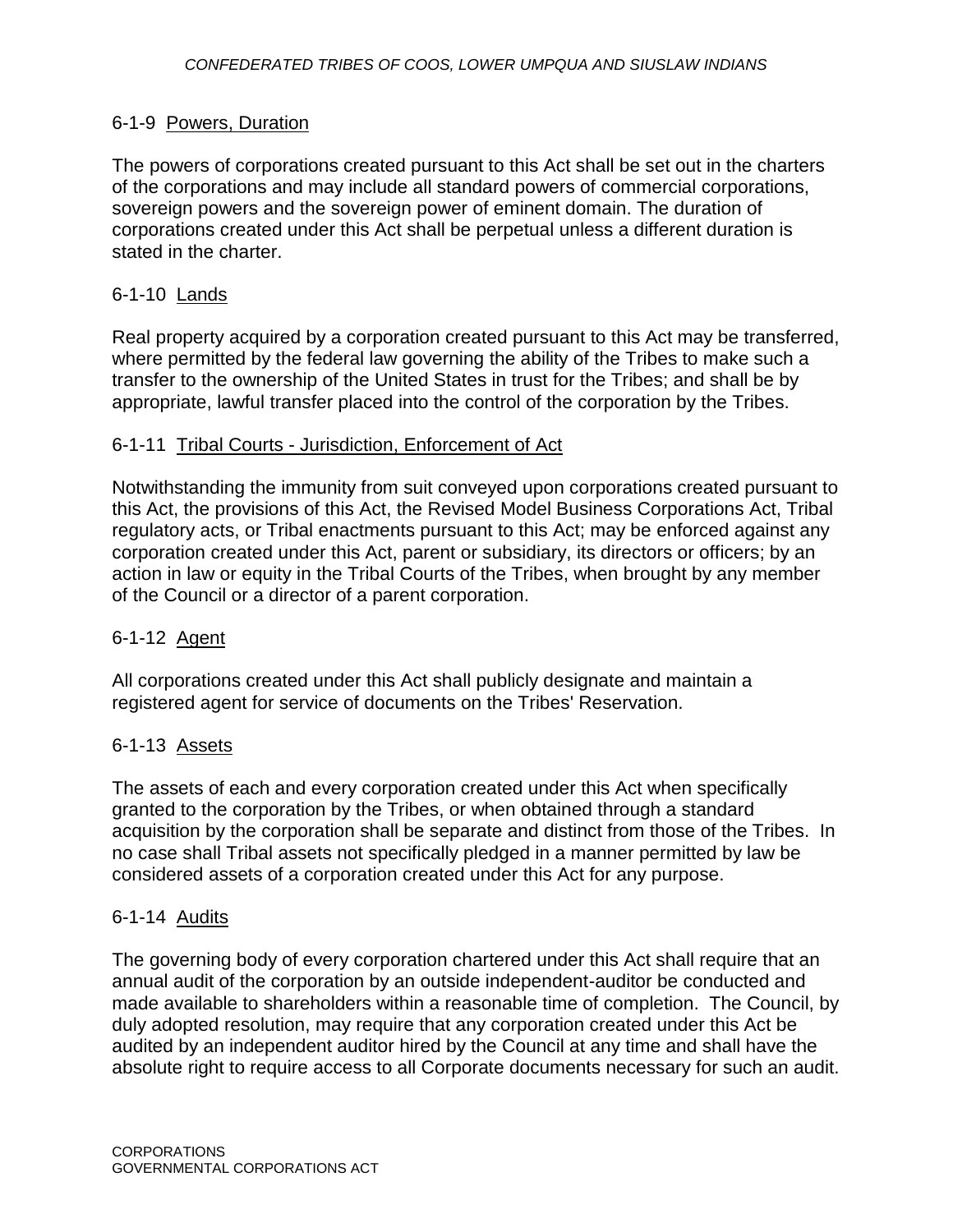## 6-1-9 Powers, Duration

The powers of corporations created pursuant to this Act shall be set out in the charters of the corporations and may include all standard powers of commercial corporations, sovereign powers and the sovereign power of eminent domain. The duration of corporations created under this Act shall be perpetual unless a different duration is stated in the charter.

# 6-1-10 Lands

Real property acquired by a corporation created pursuant to this Act may be transferred, where permitted by the federal law governing the ability of the Tribes to make such a transfer to the ownership of the United States in trust for the Tribes; and shall be by appropriate, lawful transfer placed into the control of the corporation by the Tribes.

#### 6-1-11 Tribal Courts - Jurisdiction, Enforcement of Act

Notwithstanding the immunity from suit conveyed upon corporations created pursuant to this Act, the provisions of this Act, the Revised Model Business Corporations Act, Tribal regulatory acts, or Tribal enactments pursuant to this Act; may be enforced against any corporation created under this Act, parent or subsidiary, its directors or officers; by an action in law or equity in the Tribal Courts of the Tribes, when brought by any member of the Council or a director of a parent corporation.

## 6-1-12 Agent

All corporations created under this Act shall publicly designate and maintain a registered agent for service of documents on the Tribes' Reservation.

## 6-1-13 Assets

The assets of each and every corporation created under this Act when specifically granted to the corporation by the Tribes, or when obtained through a standard acquisition by the corporation shall be separate and distinct from those of the Tribes. In no case shall Tribal assets not specifically pledged in a manner permitted by law be considered assets of a corporation created under this Act for any purpose.

## 6-1-14 Audits

The governing body of every corporation chartered under this Act shall require that an annual audit of the corporation by an outside independent-auditor be conducted and made available to shareholders within a reasonable time of completion. The Council, by duly adopted resolution, may require that any corporation created under this Act be audited by an independent auditor hired by the Council at any time and shall have the absolute right to require access to all Corporate documents necessary for such an audit.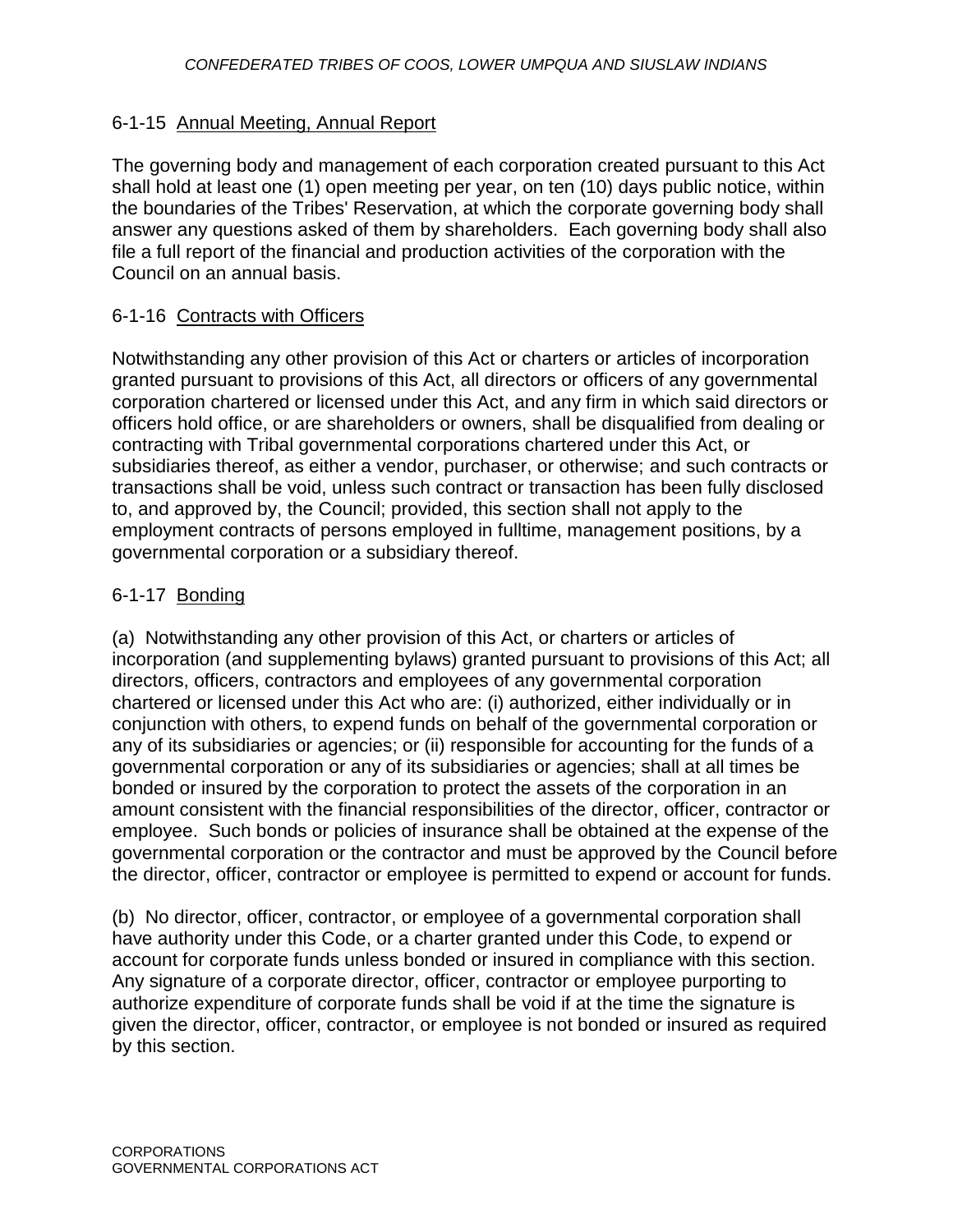# 6-1-15 Annual Meeting, Annual Report

The governing body and management of each corporation created pursuant to this Act shall hold at least one (1) open meeting per year, on ten (10) days public notice, within the boundaries of the Tribes' Reservation, at which the corporate governing body shall answer any questions asked of them by shareholders. Each governing body shall also file a full report of the financial and production activities of the corporation with the Council on an annual basis.

# 6-1-16 Contracts with Officers

Notwithstanding any other provision of this Act or charters or articles of incorporation granted pursuant to provisions of this Act, all directors or officers of any governmental corporation chartered or licensed under this Act, and any firm in which said directors or officers hold office, or are shareholders or owners, shall be disqualified from dealing or contracting with Tribal governmental corporations chartered under this Act, or subsidiaries thereof, as either a vendor, purchaser, or otherwise; and such contracts or transactions shall be void, unless such contract or transaction has been fully disclosed to, and approved by, the Council; provided, this section shall not apply to the employment contracts of persons employed in fulltime, management positions, by a governmental corporation or a subsidiary thereof.

# 6-1-17 Bonding

(a) Notwithstanding any other provision of this Act, or charters or articles of incorporation (and supplementing bylaws) granted pursuant to provisions of this Act; all directors, officers, contractors and employees of any governmental corporation chartered or licensed under this Act who are: (i) authorized, either individually or in conjunction with others, to expend funds on behalf of the governmental corporation or any of its subsidiaries or agencies; or (ii) responsible for accounting for the funds of a governmental corporation or any of its subsidiaries or agencies; shall at all times be bonded or insured by the corporation to protect the assets of the corporation in an amount consistent with the financial responsibilities of the director, officer, contractor or employee. Such bonds or policies of insurance shall be obtained at the expense of the governmental corporation or the contractor and must be approved by the Council before the director, officer, contractor or employee is permitted to expend or account for funds.

(b) No director, officer, contractor, or employee of a governmental corporation shall have authority under this Code, or a charter granted under this Code, to expend or account for corporate funds unless bonded or insured in compliance with this section. Any signature of a corporate director, officer, contractor or employee purporting to authorize expenditure of corporate funds shall be void if at the time the signature is given the director, officer, contractor, or employee is not bonded or insured as required by this section.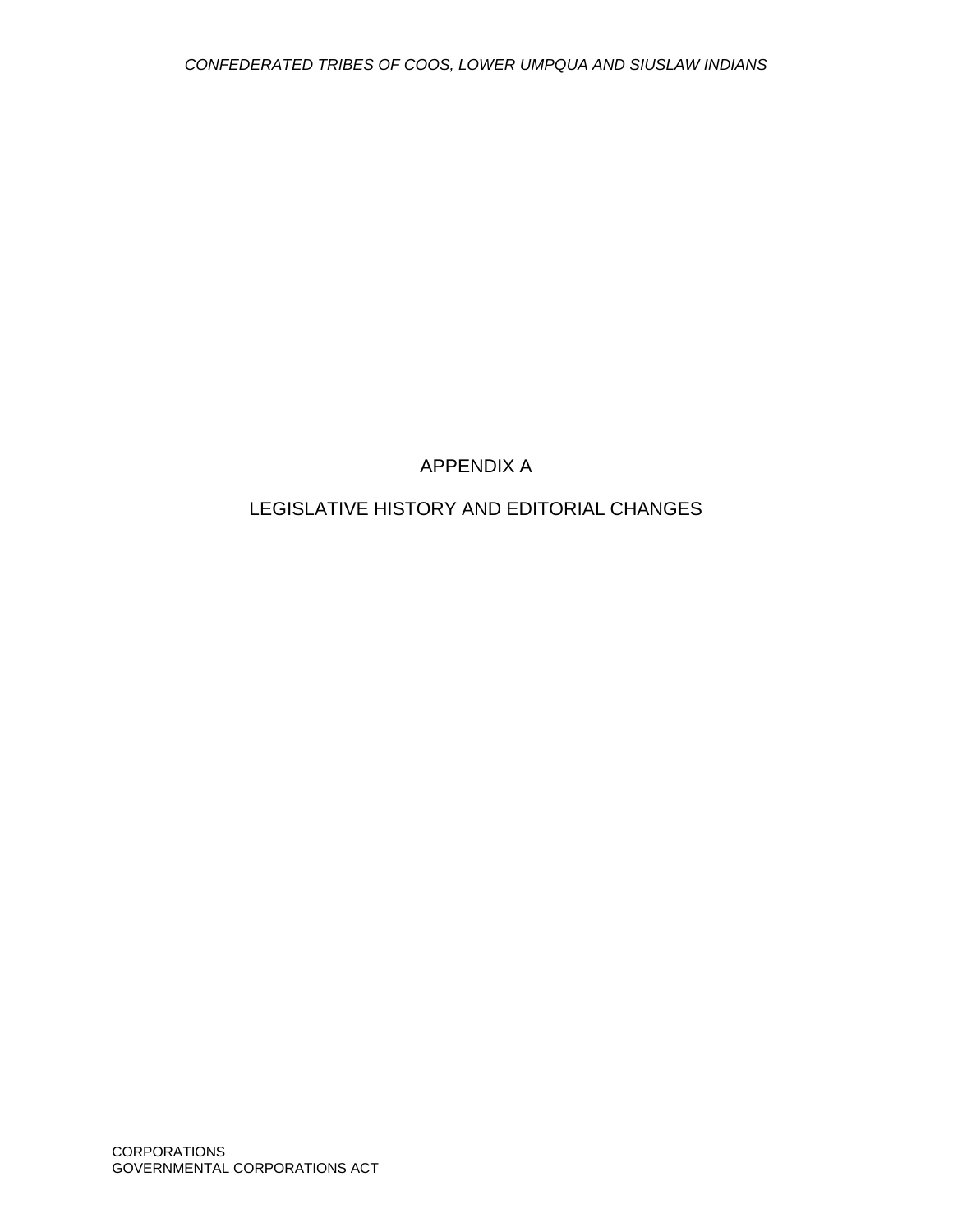# APPENDIX A

# LEGISLATIVE HISTORY AND EDITORIAL CHANGES